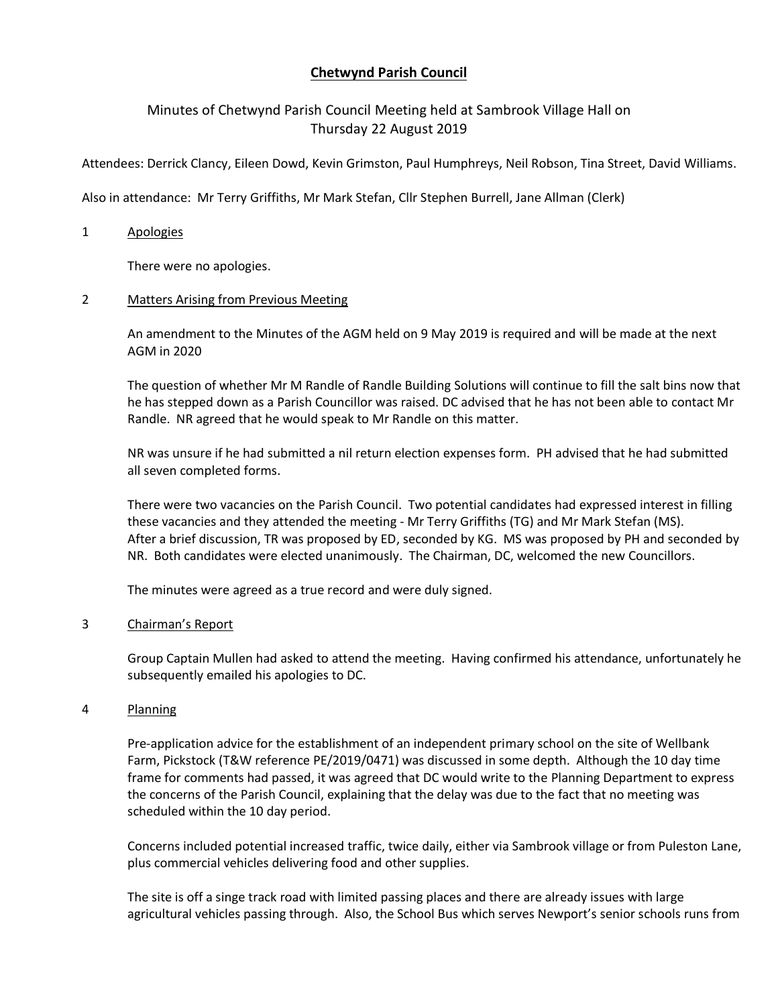# **Chetwynd Parish Council**

# Minutes of Chetwynd Parish Council Meeting held at Sambrook Village Hall on Thursday 22 August 2019

Attendees: Derrick Clancy, Eileen Dowd, Kevin Grimston, Paul Humphreys, Neil Robson, Tina Street, David Williams.

Also in attendance: Mr Terry Griffiths, Mr Mark Stefan, Cllr Stephen Burrell, Jane Allman (Clerk)

### 1 Apologies

There were no apologies.

## 2 Matters Arising from Previous Meeting

An amendment to the Minutes of the AGM held on 9 May 2019 is required and will be made at the next AGM in 2020

The question of whether Mr M Randle of Randle Building Solutions will continue to fill the salt bins now that he has stepped down as a Parish Councillor was raised. DC advised that he has not been able to contact Mr Randle. NR agreed that he would speak to Mr Randle on this matter.

NR was unsure if he had submitted a nil return election expenses form. PH advised that he had submitted all seven completed forms.

There were two vacancies on the Parish Council. Two potential candidates had expressed interest in filling these vacancies and they attended the meeting - Mr Terry Griffiths (TG) and Mr Mark Stefan (MS). After a brief discussion, TR was proposed by ED, seconded by KG. MS was proposed by PH and seconded by NR. Both candidates were elected unanimously. The Chairman, DC, welcomed the new Councillors.

The minutes were agreed as a true record and were duly signed.

### 3 Chairman's Report

Group Captain Mullen had asked to attend the meeting. Having confirmed his attendance, unfortunately he subsequently emailed his apologies to DC.

# 4 Planning

Pre-application advice for the establishment of an independent primary school on the site of Wellbank Farm, Pickstock (T&W reference PE/2019/0471) was discussed in some depth. Although the 10 day time frame for comments had passed, it was agreed that DC would write to the Planning Department to express the concerns of the Parish Council, explaining that the delay was due to the fact that no meeting was scheduled within the 10 day period.

Concerns included potential increased traffic, twice daily, either via Sambrook village or from Puleston Lane, plus commercial vehicles delivering food and other supplies.

The site is off a singe track road with limited passing places and there are already issues with large agricultural vehicles passing through. Also, the School Bus which serves Newport's senior schools runs from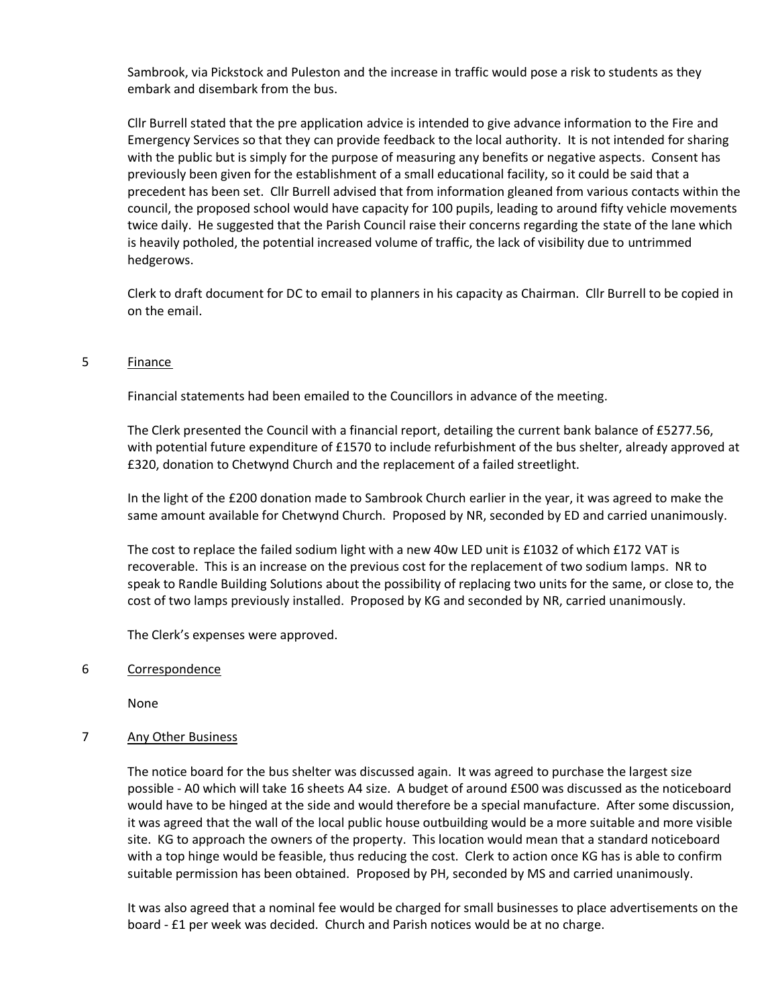Sambrook, via Pickstock and Puleston and the increase in traffic would pose a risk to students as they embark and disembark from the bus.

Cllr Burrell stated that the pre application advice is intended to give advance information to the Fire and Emergency Services so that they can provide feedback to the local authority. It is not intended for sharing with the public but is simply for the purpose of measuring any benefits or negative aspects. Consent has previously been given for the establishment of a small educational facility, so it could be said that a precedent has been set. Cllr Burrell advised that from information gleaned from various contacts within the council, the proposed school would have capacity for 100 pupils, leading to around fifty vehicle movements twice daily. He suggested that the Parish Council raise their concerns regarding the state of the lane which is heavily potholed, the potential increased volume of traffic, the lack of visibility due to untrimmed hedgerows.

Clerk to draft document for DC to email to planners in his capacity as Chairman. Cllr Burrell to be copied in on the email.

## 5 Finance

Financial statements had been emailed to the Councillors in advance of the meeting.

The Clerk presented the Council with a financial report, detailing the current bank balance of £5277.56, with potential future expenditure of £1570 to include refurbishment of the bus shelter, already approved at £320, donation to Chetwynd Church and the replacement of a failed streetlight.

In the light of the £200 donation made to Sambrook Church earlier in the year, it was agreed to make the same amount available for Chetwynd Church. Proposed by NR, seconded by ED and carried unanimously.

The cost to replace the failed sodium light with a new 40w LED unit is £1032 of which £172 VAT is recoverable. This is an increase on the previous cost for the replacement of two sodium lamps. NR to speak to Randle Building Solutions about the possibility of replacing two units for the same, or close to, the cost of two lamps previously installed. Proposed by KG and seconded by NR, carried unanimously.

The Clerk's expenses were approved.

### 6 Correspondence

None

# 7 Any Other Business

The notice board for the bus shelter was discussed again. It was agreed to purchase the largest size possible - A0 which will take 16 sheets A4 size. A budget of around £500 was discussed as the noticeboard would have to be hinged at the side and would therefore be a special manufacture. After some discussion, it was agreed that the wall of the local public house outbuilding would be a more suitable and more visible site. KG to approach the owners of the property. This location would mean that a standard noticeboard with a top hinge would be feasible, thus reducing the cost. Clerk to action once KG has is able to confirm suitable permission has been obtained. Proposed by PH, seconded by MS and carried unanimously.

It was also agreed that a nominal fee would be charged for small businesses to place advertisements on the board - £1 per week was decided. Church and Parish notices would be at no charge.